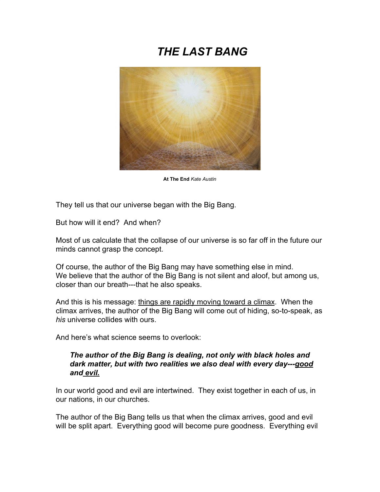# *THE LAST BANG*



**At The End** *Kate Austin*

They tell us that our universe began with the Big Bang.

But how will it end? And when?

Most of us calculate that the collapse of our universe is so far off in the future our minds cannot grasp the concept.

Of course, the author of the Big Bang may have something else in mind. We believe that the author of the Big Bang is not silent and aloof, but among us, closer than our breath---that he also speaks.

And this is his message: things are rapidly moving toward a climax. When the climax arrives, the author of the Big Bang will come out of hiding, so-to-speak, as *his* universe collides with ours.

And here's what science seems to overlook:

#### *The author of the Big Bang is dealing, not only with black holes and dark matter, but with two realities we also deal with every day---good and evil.*

In our world good and evil are intertwined. They exist together in each of us, in our nations, in our churches.

The author of the Big Bang tells us that when the climax arrives, good and evil will be split apart. Everything good will become pure goodness. Everything evil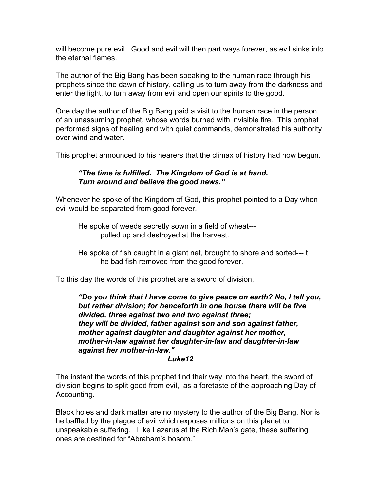will become pure evil. Good and evil will then part ways forever, as evil sinks into the eternal flames.

The author of the Big Bang has been speaking to the human race through his prophets since the dawn of history, calling us to turn away from the darkness and enter the light, to turn away from evil and open our spirits to the good.

One day the author of the Big Bang paid a visit to the human race in the person of an unassuming prophet, whose words burned with invisible fire. This prophet performed signs of healing and with quiet commands, demonstrated his authority over wind and water.

This prophet announced to his hearers that the climax of history had now begun.

#### *"The time is fulfilled. The Kingdom of God is at hand. Turn around and believe the good news."*

Whenever he spoke of the Kingdom of God, this prophet pointed to a Day when evil would be separated from good forever.

He spoke of weeds secretly sown in a field of wheat-- pulled up and destroyed at the harvest.

He spoke of fish caught in a giant net, brought to shore and sorted--- t he bad fish removed from the good forever.

To this day the words of this prophet are a sword of division,

*"Do you think that I have come to give peace on earth? No, I tell you, but rather division; for henceforth in one house there will be five divided, three against two and two against three; they will be divided, father against son and son against father, mother against daughter and daughter against her mother, mother-in-law against her daughter-in-law and daughter-in-law against her mother-in-law."*

#### *Luke12*

The instant the words of this prophet find their way into the heart, the sword of division begins to split good from evil, as a foretaste of the approaching Day of Accounting.

Black holes and dark matter are no mystery to the author of the Big Bang. Nor is he baffled by the plague of evil which exposes millions on this planet to unspeakable suffering. Like Lazarus at the Rich Man's gate, these suffering ones are destined for "Abraham's bosom."